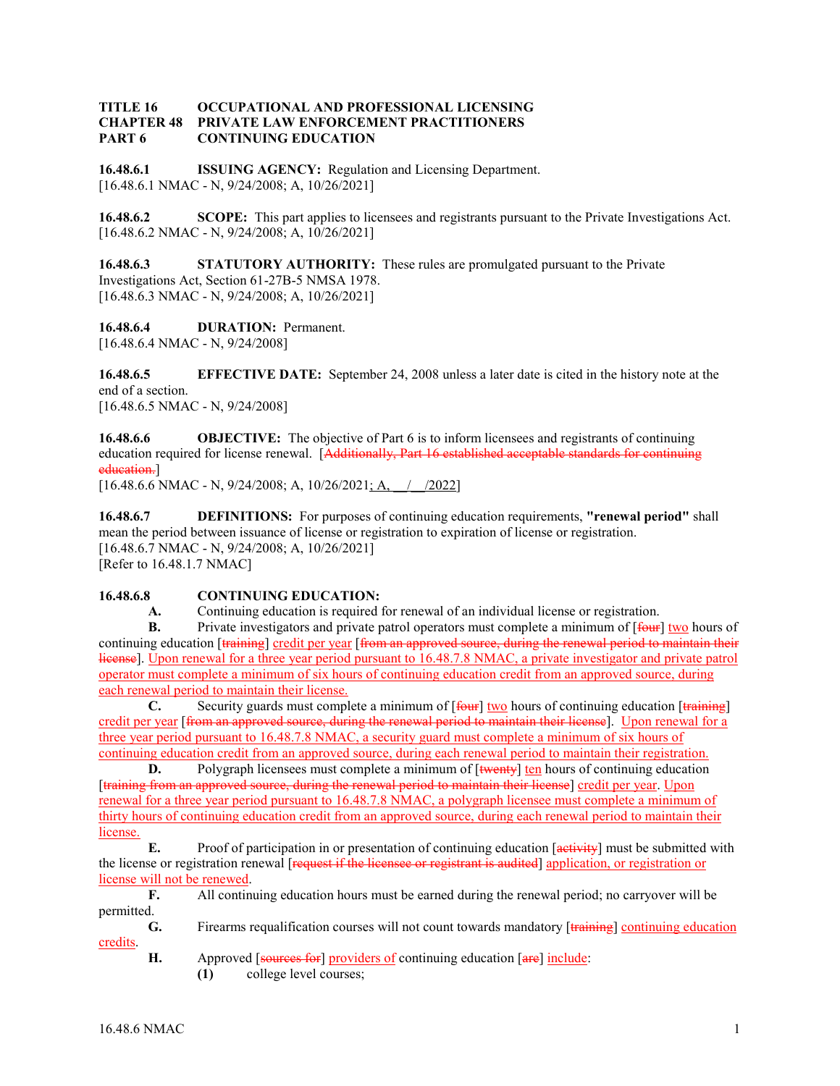## **TITLE 16 OCCUPATIONAL AND PROFESSIONAL LICENSING CHAPTER 48 PRIVATE LAW ENFORCEMENT PRACTITIONERS PART 6 CONTINUING EDUCATION**

**16.48.6.1 ISSUING AGENCY:** Regulation and Licensing Department. [16.48.6.1 NMAC - N, 9/24/2008; A, 10/26/2021]

**16.48.6.2 SCOPE:** This part applies to licensees and registrants pursuant to the Private Investigations Act. [16.48.6.2 NMAC - N, 9/24/2008; A, 10/26/2021]

**16.48.6.3 STATUTORY AUTHORITY:** These rules are promulgated pursuant to the Private Investigations Act, Section 61-27B-5 NMSA 1978. [16.48.6.3 NMAC - N, 9/24/2008; A, 10/26/2021]

**16.48.6.4 DURATION:** Permanent. [16.48.6.4 NMAC - N, 9/24/2008]

**16.48.6.5 EFFECTIVE DATE:** September 24, 2008 unless a later date is cited in the history note at the end of a section. [16.48.6.5 NMAC - N, 9/24/2008]

**16.48.6.6 OBJECTIVE:** The objective of Part 6 is to inform licensees and registrants of continuing education required for license renewal. [Additionally, Part 16 established acceptable standards for continuing education.]

[16.48.6.6 NMAC - N, 9/24/2008; A, 10/26/2021; A,  $\angle$  /2022]

**16.48.6.7 DEFINITIONS:** For purposes of continuing education requirements, **"renewal period"** shall mean the period between issuance of license or registration to expiration of license or registration. [16.48.6.7 NMAC - N, 9/24/2008; A, 10/26/2021] [Refer to 16.48.1.7 NMAC]

## **16.48.6.8 CONTINUING EDUCATION:**

**A.** Continuing education is required for renewal of an individual license or registration.

**B.** Private investigators and private patrol operators must complete a minimum of  $\overline{f_{\theta}}$  two hours of continuing education [training] credit per year [from an approved source, during the renewal period to maintain their license]. Upon renewal for a three year period pursuant to 16.48.7.8 NMAC, a private investigator and private patrol operator must complete a minimum of six hours of continuing education credit from an approved source, during each renewal period to maintain their license.

**C.** Security guards must complete a minimum of  $\overline{f_{\text{6}}$  two hours of continuing education  $\overline{f_{\text{5}}$  training credit per year [from an approved source, during the renewal period to maintain their license]. Upon renewal for a three year period pursuant to 16.48.7.8 NMAC, a security guard must complete a minimum of six hours of continuing education credit from an approved source, during each renewal period to maintain their registration.

**D.** Polygraph licensees must complete a minimum of [twenty] ten hours of continuing education [training from an approved source, during the renewal period to maintain their license] credit per year. Upon renewal for a three year period pursuant to 16.48.7.8 NMAC, a polygraph licensee must complete a minimum of thirty hours of continuing education credit from an approved source, during each renewal period to maintain their license.

**E.** Proof of participation in or presentation of continuing education [activity] must be submitted with the license or registration renewal [request if the licensee or registrant is audited] application, or registration or license will not be renewed.

**F.** All continuing education hours must be earned during the renewal period; no carryover will be permitted.

**G.** Firearms requalification courses will not count towards mandatory [training] continuing education credits.

**H.** Approved [sources for] providers of continuing education [are] include:

**(1)** college level courses;